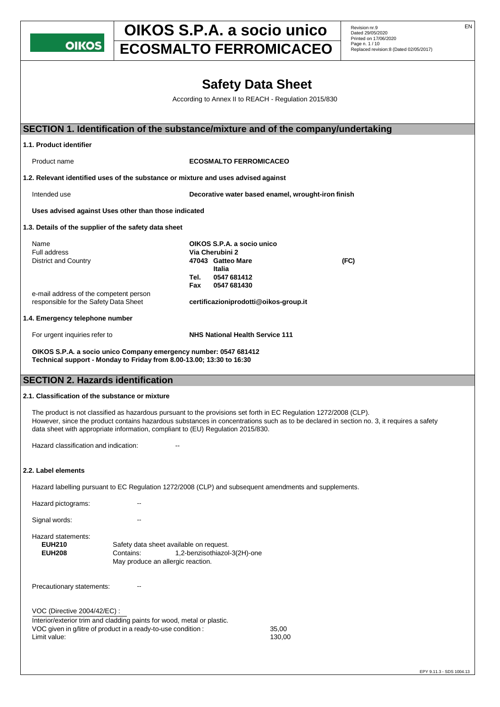**OIKOS** 

# **OIKOS S.P.A. a socio unico** Revision nr.9

Dated 29/05/2020 Printed on 17/06/2020

# **ECOSMALTO FERROMICACEO**

|                                                                                                                                                                                                      |                                         |                                                      | <b>Safety Data Sheet</b>                           |                                                                                                                                          |                          |  |
|------------------------------------------------------------------------------------------------------------------------------------------------------------------------------------------------------|-----------------------------------------|------------------------------------------------------|----------------------------------------------------|------------------------------------------------------------------------------------------------------------------------------------------|--------------------------|--|
|                                                                                                                                                                                                      |                                         | According to Annex II to REACH - Regulation 2015/830 |                                                    |                                                                                                                                          |                          |  |
|                                                                                                                                                                                                      |                                         |                                                      |                                                    |                                                                                                                                          |                          |  |
|                                                                                                                                                                                                      |                                         |                                                      |                                                    | SECTION 1. Identification of the substance/mixture and of the company/undertaking                                                        |                          |  |
| 1.1. Product identifier                                                                                                                                                                              |                                         |                                                      |                                                    |                                                                                                                                          |                          |  |
| Product name                                                                                                                                                                                         |                                         | <b>ECOSMALTO FERROMICACEO</b>                        |                                                    |                                                                                                                                          |                          |  |
| 1.2. Relevant identified uses of the substance or mixture and uses advised against                                                                                                                   |                                         |                                                      |                                                    |                                                                                                                                          |                          |  |
| Intended use                                                                                                                                                                                         |                                         |                                                      | Decorative water based enamel, wrought-iron finish |                                                                                                                                          |                          |  |
| Uses advised against Uses other than those indicated                                                                                                                                                 |                                         |                                                      |                                                    |                                                                                                                                          |                          |  |
| 1.3. Details of the supplier of the safety data sheet                                                                                                                                                |                                         |                                                      |                                                    |                                                                                                                                          |                          |  |
| Name                                                                                                                                                                                                 |                                         | OIKOS S.P.A. a socio unico                           |                                                    |                                                                                                                                          |                          |  |
| <b>Full address</b>                                                                                                                                                                                  |                                         | Via Cherubini 2                                      |                                                    |                                                                                                                                          |                          |  |
| <b>District and Country</b>                                                                                                                                                                          |                                         | 47043 Gatteo Mare                                    |                                                    | (FC)                                                                                                                                     |                          |  |
|                                                                                                                                                                                                      |                                         | Italia<br>0547 681412<br>Tel.                        |                                                    |                                                                                                                                          |                          |  |
|                                                                                                                                                                                                      |                                         | Fax<br>0547 681430                                   |                                                    |                                                                                                                                          |                          |  |
| e-mail address of the competent person                                                                                                                                                               |                                         |                                                      |                                                    |                                                                                                                                          |                          |  |
| responsible for the Safety Data Sheet                                                                                                                                                                |                                         | certificazioniprodotti@oikos-group.it                |                                                    |                                                                                                                                          |                          |  |
| 1.4. Emergency telephone number                                                                                                                                                                      |                                         |                                                      |                                                    |                                                                                                                                          |                          |  |
| For urgent inquiries refer to                                                                                                                                                                        |                                         | <b>NHS National Health Service 111</b>               |                                                    |                                                                                                                                          |                          |  |
| OIKOS S.P.A. a socio unico Company emergency number: 0547 681412<br>Technical support - Monday to Friday from 8.00-13.00; 13:30 to 16:30                                                             |                                         |                                                      |                                                    |                                                                                                                                          |                          |  |
| <b>SECTION 2. Hazards identification</b>                                                                                                                                                             |                                         |                                                      |                                                    |                                                                                                                                          |                          |  |
| 2.1. Classification of the substance or mixture                                                                                                                                                      |                                         |                                                      |                                                    |                                                                                                                                          |                          |  |
|                                                                                                                                                                                                      |                                         |                                                      |                                                    |                                                                                                                                          |                          |  |
| The product is not classified as hazardous pursuant to the provisions set forth in EC Regulation 1272/2008 (CLP).<br>data sheet with appropriate information, compliant to (EU) Regulation 2015/830. |                                         |                                                      |                                                    | However, since the product contains hazardous substances in concentrations such as to be declared in section no. 3, it requires a safety |                          |  |
| Hazard classification and indication:                                                                                                                                                                |                                         |                                                      |                                                    |                                                                                                                                          |                          |  |
|                                                                                                                                                                                                      |                                         |                                                      |                                                    |                                                                                                                                          |                          |  |
| 2.2. Label elements                                                                                                                                                                                  |                                         |                                                      |                                                    |                                                                                                                                          |                          |  |
| Hazard labelling pursuant to EC Regulation 1272/2008 (CLP) and subsequent amendments and supplements.                                                                                                |                                         |                                                      |                                                    |                                                                                                                                          |                          |  |
| Hazard pictograms:                                                                                                                                                                                   |                                         |                                                      |                                                    |                                                                                                                                          |                          |  |
| Signal words:                                                                                                                                                                                        |                                         |                                                      |                                                    |                                                                                                                                          |                          |  |
| Hazard statements:                                                                                                                                                                                   |                                         |                                                      |                                                    |                                                                                                                                          |                          |  |
| <b>EUH210</b>                                                                                                                                                                                        | Safety data sheet available on request. |                                                      |                                                    |                                                                                                                                          |                          |  |
| <b>EUH208</b>                                                                                                                                                                                        | Contains:                               | 1,2-benzisothiazol-3(2H)-one                         |                                                    |                                                                                                                                          |                          |  |
|                                                                                                                                                                                                      | May produce an allergic reaction.       |                                                      |                                                    |                                                                                                                                          |                          |  |
| Precautionary statements:                                                                                                                                                                            |                                         |                                                      |                                                    |                                                                                                                                          |                          |  |
|                                                                                                                                                                                                      |                                         |                                                      |                                                    |                                                                                                                                          |                          |  |
| VOC (Directive 2004/42/EC) :                                                                                                                                                                         |                                         |                                                      |                                                    |                                                                                                                                          |                          |  |
| Interior/exterior trim and cladding paints for wood, metal or plastic.                                                                                                                               |                                         |                                                      |                                                    |                                                                                                                                          |                          |  |
| VOC given in g/litre of product in a ready-to-use condition :                                                                                                                                        |                                         |                                                      | 35,00                                              |                                                                                                                                          |                          |  |
| Limit value:                                                                                                                                                                                         |                                         |                                                      | 130,00                                             |                                                                                                                                          |                          |  |
|                                                                                                                                                                                                      |                                         |                                                      |                                                    |                                                                                                                                          |                          |  |
|                                                                                                                                                                                                      |                                         |                                                      |                                                    |                                                                                                                                          |                          |  |
|                                                                                                                                                                                                      |                                         |                                                      |                                                    |                                                                                                                                          | EPY 9.11.3 - SDS 1004.13 |  |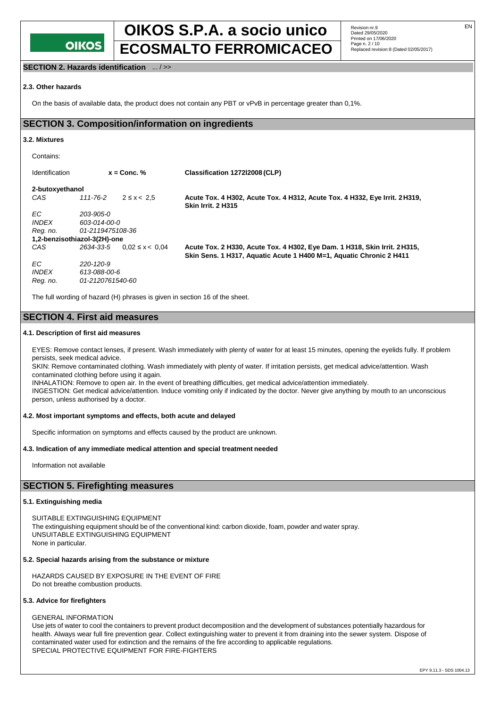

# **OIKOS S.P.A. a socio unico** Revision nr.9 Page n. 2 / 10 **ECOSMALTO FERROMICACEO** Replaced revision:8 (Dated 02/05/2017)

Revision nr.9<br>Dated 29/05/2020 Printed on 17/06/2020<br>Page n. 2 / 10

**SECTION 2. Hazards identification** ... / >>

#### **2.3. Other hazards**

On the basis of available data, the product does not contain any PBT or vPvB in percentage greater than 0,1%.

### **SECTION 3. Composition/information on ingredients**

#### **3.2. Mixtures**

| Contains:                    |                  |                     |                                                                                                                                                   |  |  |
|------------------------------|------------------|---------------------|---------------------------------------------------------------------------------------------------------------------------------------------------|--|--|
| <b>Identification</b>        |                  | $x =$ Conc. %       | Classification 127212008 (CLP)                                                                                                                    |  |  |
| 2-butoxyethanol              |                  |                     |                                                                                                                                                   |  |  |
| CAS                          | 111-76-2         | $2 \le x < 2.5$     | Acute Tox. 4 H302, Acute Tox. 4 H312, Acute Tox. 4 H332, Eye Irrit. 2 H319,<br><b>Skin Irrit. 2 H315</b>                                          |  |  |
| EC.                          | 203-905-0        |                     |                                                                                                                                                   |  |  |
| <i><b>INDEX</b></i>          | 603-014-00-0     |                     |                                                                                                                                                   |  |  |
| Reg. no.                     | 01-2119475108-36 |                     |                                                                                                                                                   |  |  |
| 1,2-benzisothiazol-3(2H)-one |                  |                     |                                                                                                                                                   |  |  |
| CAS                          | 2634-33-5        | $0.02 \le x < 0.04$ | Acute Tox. 2 H330, Acute Tox. 4 H302, Eye Dam. 1 H318, Skin Irrit. 2 H315,<br>Skin Sens. 1 H317, Aquatic Acute 1 H400 M=1, Aquatic Chronic 2 H411 |  |  |
| EC.                          | 220-120-9        |                     |                                                                                                                                                   |  |  |
| <b>INDEX</b>                 | 613-088-00-6     |                     |                                                                                                                                                   |  |  |
| Reg. no.                     | 01-2120761540-60 |                     |                                                                                                                                                   |  |  |

The full wording of hazard (H) phrases is given in section 16 of the sheet.

### **SECTION 4. First aid measures**

#### **4.1. Description of first aid measures**

EYES: Remove contact lenses, if present. Wash immediately with plenty of water for at least 15 minutes, opening the eyelids fully. If problem persists, seek medical advice.

SKIN: Remove contaminated clothing. Wash immediately with plenty of water. If irritation persists, get medical advice/attention. Wash contaminated clothing before using it again.

INHALATION: Remove to open air. In the event of breathing difficulties, get medical advice/attention immediately.

INGESTION: Get medical advice/attention. Induce vomiting only if indicated by the doctor. Never give anything by mouth to an unconscious person, unless authorised by a doctor.

#### **4.2. Most important symptoms and effects, both acute and delayed**

Specific information on symptoms and effects caused by the product are unknown.

#### **4.3. Indication of any immediate medical attention and special treatment needed**

Information not available

## **SECTION 5. Firefighting measures**

#### **5.1. Extinguishing media**

SUITABLE EXTINGUISHING EQUIPMENT The extinguishing equipment should be of the conventional kind: carbon dioxide, foam, powder and water spray. UNSUITABLE EXTINGUISHING EQUIPMENT None in particular.

#### **5.2. Special hazards arising from the substance or mixture**

HAZARDS CAUSED BY EXPOSURE IN THE EVENT OF FIRE Do not breathe combustion products.

#### **5.3. Advice for firefighters**

#### GENERAL INFORMATION

Use jets of water to cool the containers to prevent product decomposition and the development of substances potentially hazardous for health. Always wear full fire prevention gear. Collect extinguishing water to prevent it from draining into the sewer system. Dispose of contaminated water used for extinction and the remains of the fire according to applicable regulations. SPECIAL PROTECTIVE EQUIPMENT FOR FIRE-FIGHTERS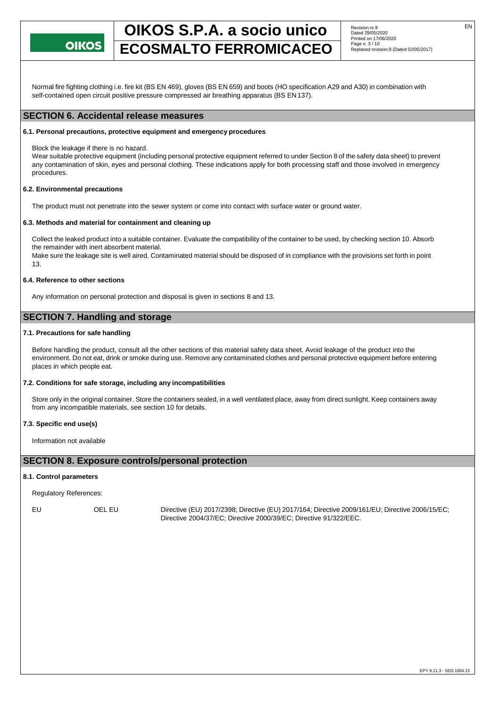

# **OIKOS S.P.A. a socio unico** Revision nr.9 **ECOSMALTO FERROMICACEO** Replaced revision:8 (Dated 02/05/2017)

Revision nr.9<br>Dated 29/05/2020 Printed on 17/06/2020<br>Page n. 3 / 10

Normal fire fighting clothing i.e. fire kit (BS EN 469), gloves (BS EN 659) and boots (HO specification A29 and A30) in combination with self-contained open circuit positive pressure compressed air breathing apparatus (BS EN137).

## **SECTION 6. Accidental release measures**

#### **6.1. Personal precautions, protective equipment and emergency procedures**

Block the leakage if there is no hazard.

Wear suitable protective equipment (including personal protective equipment referred to under Section 8 of the safety data sheet) to prevent any contamination of skin, eyes and personal clothing. These indications apply for both processing staff and those involved in emergency procedures.

#### **6.2. Environmental precautions**

The product must not penetrate into the sewer system or come into contact with surface water or ground water.

#### **6.3. Methods and material for containment and cleaning up**

Collect the leaked product into a suitable container. Evaluate the compatibility of the container to be used, by checking section 10. Absorb the remainder with inert absorbent material.

Make sure the leakage site is well aired. Contaminated material should be disposed of in compliance with the provisions set forth in point 13.

#### **6.4. Reference to other sections**

Any information on personal protection and disposal is given in sections 8 and 13.

## **SECTION 7. Handling and storage**

#### **7.1. Precautions for safe handling**

Before handling the product, consult all the other sections of this material safety data sheet. Avoid leakage of the product into the environment. Do not eat, drink or smoke during use. Remove any contaminated clothes and personal protective equipment before entering places in which people eat.

#### **7.2. Conditions for safe storage, including any incompatibilities**

Store only in the original container. Store the containers sealed, in a well ventilated place, away from direct sunlight. Keep containers away from any incompatible materials, see section 10 for details.

#### **7.3. Specific end use(s)**

Information not available

#### **SECTION 8. Exposure controls/personal protection**

#### **8.1. Control parameters**

Regulatory References:

EU OEL EU Directive (EU) 2017/2398; Directive (EU) 2017/164; Directive 2009/161/EU; Directive 2006/15/EC; Directive 2004/37/EC; Directive 2000/39/EC; Directive 91/322/EEC.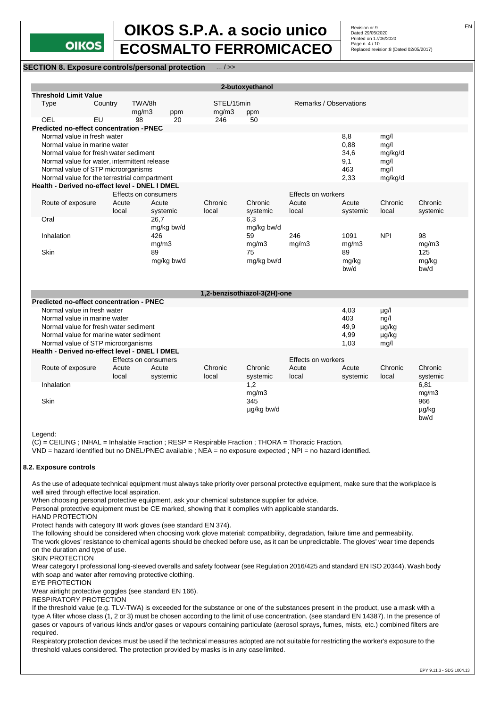

# **OIKOS S.P.A. a socio unico Revision nr.9** EN Page n. 4 / 10 **ECOSMALTO FERROMICACEO** Replaced revision:8 (Dated 02/05/2017)

Revision nr.9<br>Dated 29/05/2020 Printed on 17/06/2020<br>Page n. 4 / 10

#### **SECTION 8. Exposure controls/personal protection** ... / >>

| 2-butoxyethanol                                    |                                                |        |                      |            |       |             |                        |             |            |              |
|----------------------------------------------------|------------------------------------------------|--------|----------------------|------------|-------|-------------|------------------------|-------------|------------|--------------|
| <b>Threshold Limit Value</b>                       |                                                |        |                      |            |       |             |                        |             |            |              |
| Type                                               | Country                                        | TWA/8h |                      | STEL/15min |       |             | Remarks / Observations |             |            |              |
|                                                    |                                                | mg/m3  | ppm                  |            | mg/m3 | ppm         |                        |             |            |              |
| OEL                                                | EU                                             | 98     | 20                   | 246        |       | 50          |                        |             |            |              |
|                                                    | Predicted no-effect concentration - PNEC       |        |                      |            |       |             |                        |             |            |              |
| Normal value in fresh water                        |                                                |        |                      |            |       |             |                        | 8,8         | mq/1       |              |
| Normal value in marine water                       |                                                |        |                      |            |       | 0,88        | mg/l                   |             |            |              |
| Normal value for fresh water sediment              |                                                |        |                      |            |       | 34,6        | mg/kg/d                |             |            |              |
| Normal value for water, intermittent release       |                                                |        |                      |            |       | 9,1         | mg/l                   |             |            |              |
| Normal value of STP microorganisms                 |                                                |        |                      |            |       | 463         | mg/l                   |             |            |              |
| Normal value for the terrestrial compartment       |                                                |        |                      |            |       |             |                        | 2,33        | mg/kg/d    |              |
| Health - Derived no-effect level - DNEL I DMEL     |                                                |        |                      |            |       |             |                        |             |            |              |
|                                                    |                                                |        | Effects on consumers |            |       |             | Effects on workers     |             |            |              |
| Route of exposure                                  |                                                | Acute  | Acute                | Chronic    |       | Chronic     | Acute                  | Acute       | Chronic    | Chronic      |
|                                                    |                                                | local  | systemic             | local      |       | systemic    | local                  | systemic    | local      | systemic     |
| Oral                                               |                                                |        | 26.7                 |            |       | 6,3         |                        |             |            |              |
|                                                    |                                                |        | mg/kg bw/d           |            |       | mg/kg bw/d  |                        |             |            |              |
| Inhalation                                         |                                                |        | 426                  |            |       | 59          | 246                    | 1091        | <b>NPI</b> | 98           |
| Skin                                               |                                                |        | mg/m3<br>89          |            |       | mg/m3<br>75 | mg/m3                  | mg/m3<br>89 |            | mg/m3<br>125 |
|                                                    |                                                |        | mg/kg bw/d           |            |       | mg/kg bw/d  |                        | mg/kg       |            | mg/kg        |
|                                                    |                                                |        |                      |            |       |             |                        | bw/d        |            | bw/d         |
|                                                    |                                                |        |                      |            |       |             |                        |             |            |              |
|                                                    |                                                |        |                      |            |       |             |                        |             |            |              |
|                                                    | 1,2-benzisothiazol-3(2H)-one                   |        |                      |            |       |             |                        |             |            |              |
| <b>Predicted no-effect concentration - PNEC</b>    |                                                |        |                      |            |       |             |                        |             |            |              |
|                                                    | Normal value in fresh water                    |        |                      |            |       |             |                        | 4,03        | $\mu$ g/l  |              |
| Normal value in marine water                       |                                                |        |                      |            |       |             |                        | 403         | ng/l       |              |
| Normal value for fresh water sediment              |                                                |        |                      |            |       | 49,9        | $\mu$ g/kg             |             |            |              |
| Normal value for marine water sediment             |                                                |        |                      |            |       | 4,99        | µg/kg                  |             |            |              |
| Normal value of STP microorganisms<br>1,03<br>mg/l |                                                |        |                      |            |       |             |                        |             |            |              |
|                                                    | Health - Derived no-effect level - DNEL I DMEL |        |                      |            |       |             |                        |             |            |              |
|                                                    |                                                |        | Effects on consumers |            |       |             | Effects on workers     |             |            |              |
| Route of exposure                                  |                                                | Acute  | Acute                | Chronic    |       | Chronic     | Acute                  | Acute       | Chronic    | Chronic      |
|                                                    |                                                | local  | systemic             | local      |       | systemic    | local                  | systemic    | local      | systemic     |
| Inhalation                                         |                                                |        |                      |            |       | 1,2         |                        |             |            | 6,81         |
|                                                    |                                                |        |                      |            |       | mg/m3       |                        |             |            | mg/m3        |
| Skin                                               |                                                |        |                      |            |       | 345         |                        |             |            | 966          |
|                                                    |                                                |        |                      |            |       | µg/kg bw/d  |                        |             |            | µg/kg        |
|                                                    |                                                |        |                      |            |       |             |                        |             |            | bw/d         |
|                                                    |                                                |        |                      |            |       |             |                        |             |            |              |

Legend:

(C) = CEILING ; INHAL = Inhalable Fraction ; RESP = Respirable Fraction ; THORA = Thoracic Fraction.

VND = hazard identified but no DNEL/PNEC available ; NEA = no exposure expected ; NPI = no hazard identified.

#### **8.2. Exposure controls**

As the use of adequate technical equipment must always take priority over personal protective equipment, make sure that the workplace is well aired through effective local aspiration.

When choosing personal protective equipment, ask your chemical substance supplier for advice.

Personal protective equipment must be CE marked, showing that it complies with applicable standards.

HAND PROTECTION

Protect hands with category III work gloves (see standard EN 374).

The following should be considered when choosing work glove material: compatibility, degradation, failure time and permeability.

The work gloves' resistance to chemical agents should be checked before use, as it can be unpredictable. The gloves' wear time depends on the duration and type of use.

SKIN PROTECTION

Wear category I professional long-sleeved overalls and safety footwear (see Regulation 2016/425 and standard EN ISO 20344). Wash body with soap and water after removing protective clothing.

EYE PROTECTION

Wear airtight protective goggles (see standard EN 166).

RESPIRATORY PROTECTION

If the threshold value (e.g. TLV-TWA) is exceeded for the substance or one of the substances present in the product, use a mask with a type A filter whose class (1, 2 or 3) must be chosen according to the limit of use concentration. (see standard EN 14387). In the presence of gases or vapours of various kinds and/or gases or vapours containing particulate (aerosol sprays, fumes, mists, etc.) combined filters are required.

Respiratory protection devices must be used if the technical measures adopted are not suitable for restricting the worker's exposure to the threshold values considered. The protection provided by masks is in any case limited.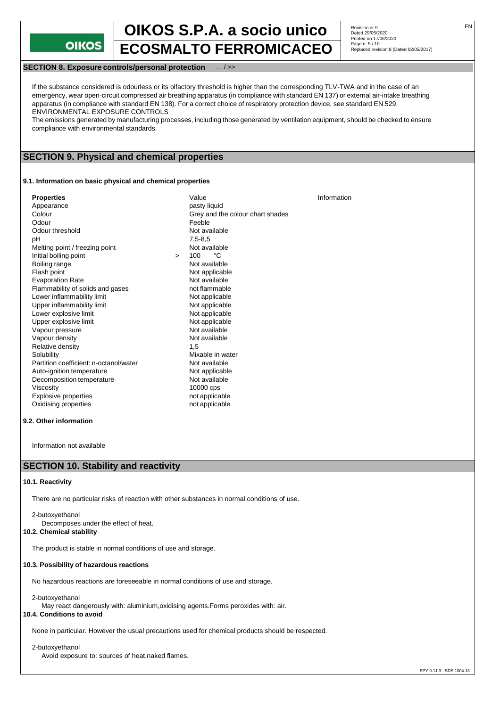**OIKOS** 

# **OIKOS S.P.A. a socio unico** Revision nr.9 Page n. 5 / 10 **ECOSMALTO FERROMICACEO** Replaced revision:8 (Dated 02/05/2017)

Revision nr.9<br>Dated 29/05/2020 Printed on 17/06/2020<br>Page n. 5 / 10

#### **SECTION 8. Exposure controls/personal protection** ... / >>

If the substance considered is odourless or its olfactory threshold is higher than the corresponding TLV-TWA and in the case of an emergency, wear open-circuit compressed air breathing apparatus (in compliance with standard EN 137) or external air-intake breathing apparatus (in compliance with standard EN 138). For a correct choice of respiratory protection device, see standard EN 529. ENVIRONMENTAL EXPOSURE CONTROLS

The emissions generated by manufacturing processes, including those generated by ventilation equipment, should be checked to ensure compliance with environmental standards.

### **SECTION 9. Physical and chemical properties**

#### **9.1. Information on basic physical and chemical properties**

| <b>Properties</b><br>Appearance<br>Colour<br>Odour<br>Odour threshold<br>рH<br>Melting point / freezing point<br>Initial boiling point<br>Boiling range<br>Flash point<br><b>Evaporation Rate</b><br>Flammability of solids and gases<br>Lower inflammability limit<br>Upper inflammability limit<br>Lower explosive limit<br>Upper explosive limit<br>Vapour pressure<br>Vapour density<br>Relative density<br>Solubility<br>Partition coefficient: n-octanol/water<br>Auto-ignition temperature | $\geq$ | Value<br>pasty liquid<br>Grey and the colour chart shades<br>Feeble<br>Not available<br>$7.5 - 8.5$<br>Not available<br>°C<br>100<br>Not available<br>Not applicable<br>Not available<br>not flammable<br>Not applicable<br>Not applicable<br>Not applicable<br>Not applicable<br>Not available<br>Not available<br>1,5<br>Mixable in water<br>Not available<br>Not applicable | Information |
|---------------------------------------------------------------------------------------------------------------------------------------------------------------------------------------------------------------------------------------------------------------------------------------------------------------------------------------------------------------------------------------------------------------------------------------------------------------------------------------------------|--------|--------------------------------------------------------------------------------------------------------------------------------------------------------------------------------------------------------------------------------------------------------------------------------------------------------------------------------------------------------------------------------|-------------|
| Decomposition temperature<br>Viscosity<br><b>Explosive properties</b>                                                                                                                                                                                                                                                                                                                                                                                                                             |        | Not available<br>10000 cps<br>not applicable                                                                                                                                                                                                                                                                                                                                   |             |
| Oxidising properties                                                                                                                                                                                                                                                                                                                                                                                                                                                                              |        | not applicable                                                                                                                                                                                                                                                                                                                                                                 |             |

#### **9.2. Other information**

Information not available

# **SECTION 10. Stability and reactivity**

#### **10.1. Reactivity**

There are no particular risks of reaction with other substances in normal conditions of use.

### 2-butoxyethanol Decomposes under the effect of heat.

## **10.2. Chemical stability**

The product is stable in normal conditions of use and storage.

#### **10.3. Possibility of hazardous reactions**

No hazardous reactions are foreseeable in normal conditions of use and storage.

2-butoxyethanol

May react dangerously with: aluminium,oxidising agents.Forms peroxides with: air.

### **10.4. Conditions to avoid**

None in particular. However the usual precautions used for chemical products should be respected.

2-butoxyethanol Avoid exposure to: sources of heat,naked flames.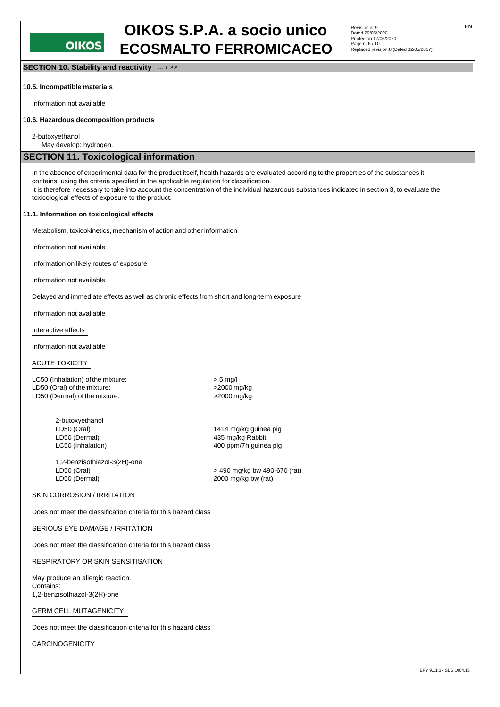# **OIKOS S.P.A. a socio unico** Revision nr.9 Page n. 6 / 10 **ECOSMALTO FERROMICACEO** Replaced revision:8 (Dated 02/05/2017)

**SECTION 10. Stability and reactivity** ... / >>

#### **10.5. Incompatible materials**

Information not available

#### **10.6. Hazardous decomposition products**

2-butoxyethanol

May develop: hydrogen.

# **SECTION 11. Toxicological information**

In the absence of experimental data for the product itself, health hazards are evaluated according to the properties of the substances it contains, using the criteria specified in the applicable regulation for classification. It is therefore necessary to take into account the concentration of the individual hazardous substances indicated in section 3, to evaluate the toxicological effects of exposure to the product.

#### **11.1. Information on toxicological effects**

Metabolism, toxicokinetics, mechanism of action and other information

Information not available

Information on likely routes of exposure

Information not available

Delayed and immediate effects as well as chronic effects from short and long-term exposure

Information not available

Interactive effects

Information not available

#### ACUTE TOXICITY

LC50 (Inhalation) of the mixture:  $>$  5 mg/l LD50 (Oral) of the mixture:  $>$ 2000 mg/kg LD50 (Dermal) of the mixture:  $>2000$  mg/kg

> 2-butoxyethanol<br>LD50 (Oral) LD50 (Dermal) 100 mm and the matrix of the 435 mg/kg Rabbit LC50 (Inhalation) 100 mm and the 400 ppm/7h guine

1,2-benzisothiazol-3(2H)-one

1414 mg/kg guinea pig

400 ppm/7h guinea pig

LD50 (Oral) > 490 mg/kg bw 490-670 (rat)  $2000$  mg/kg bw (rat)

#### SKIN CORROSION / IRRITATION

Does not meet the classification criteria for this hazard class

#### SERIOUS EYE DAMAGE / IRRITATION

Does not meet the classification criteria for this hazard class

RESPIRATORY OR SKIN SENSITISATION

May produce an allergic reaction. Contains: 1,2-benzisothiazol-3(2H)-one

GERM CELL MUTAGENICITY

Does not meet the classification criteria for this hazard class

CARCINOGENICITY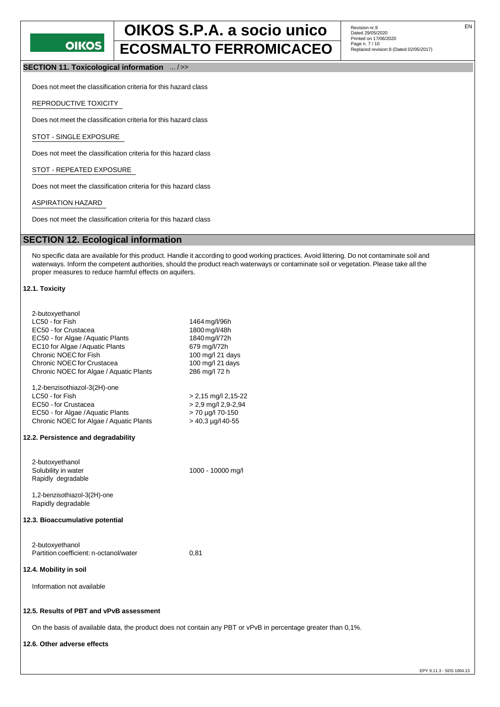# **OIKOS**

# **OIKOS S.P.A. a socio unico** Revision nr.9 **ECOSMALTO FERROMICACEO**

Revision nr.9<br>Dated 29/05/2020 Printed on 17/06/2020<br>Page n. 7 / 10

**SECTION 11. Toxicological information** ... / >>

Does not meet the classification criteria for this hazard class

REPRODUCTIVE TOXICITY

Does not meet the classification criteria for this hazard class

STOT - SINGLE EXPOSURE

Does not meet the classification criteria for this hazard class

STOT - REPEATED EXPOSURE

Does not meet the classification criteria for this hazard class

ASPIRATION HAZARD

Does not meet the classification criteria for this hazard class

# **SECTION 12. Ecological information**

No specific data are available for this product. Handle it according to good working practices. Avoid littering. Do not contaminate soil and waterways. Inform the competent authorities, should the product reach waterways or contaminate soil or vegetation. Please take all the proper measures to reduce harmful effects on aquifers.

#### **12.1. Toxicity**

| 2-butoxyethanol                         |                          |
|-----------------------------------------|--------------------------|
| LC50 - for Fish                         | 1464 mg/l/96h            |
| EC50 - for Crustacea                    | 1800 mg/l/48h            |
| EC50 - for Algae / Aquatic Plants       | 1840 mg/l/72h            |
| EC10 for Algae / Aquatic Plants         | 679 mg/l/72h             |
| Chronic NOEC for Fish                   | 100 mg/l 21 days         |
| Chronic NOEC for Crustacea              | 100 mg/l 21 days         |
| Chronic NOEC for Algae / Aquatic Plants | 286 mg/l 72 h            |
| 1,2-benzisothiazol-3(2H)-one            |                          |
| LC50 - for Fish                         | $> 2,15$ mg/l 2,15-22    |
| EC50 - for Crustacea                    | > 2,9 mg/l 2,9-2,94      |
| EC50 - for Algae / Aquatic Plants       | > 70 µg/l 70-150         |
| Chronic NOEC for Algae / Aquatic Plants | $>$ 40,3 $\mu$ g/l 40-55 |
| 12.2. Persistence and degradability     |                          |
| 2-butoxyethanol                         |                          |
| Solubility in water                     | 1000 - 10000 mg/l        |
| Rapidly degradable                      |                          |
| 1,2-benzisothiazol-3(2H)-one            |                          |
| Rapidly degradable                      |                          |
| 12.3. Bioaccumulative potential         |                          |
| 2-butoxyethanol                         |                          |
| Partition coefficient: n-octanol/water  | 0,81                     |
|                                         |                          |
| 12.4. Mobility in soil                  |                          |
| Information not available               |                          |
|                                         |                          |

## **12.5. Results of PBT and vPvB assessment**

On the basis of available data, the product does not contain any PBT or vPvB in percentage greater than 0,1%.

#### **12.6. Other adverse effects**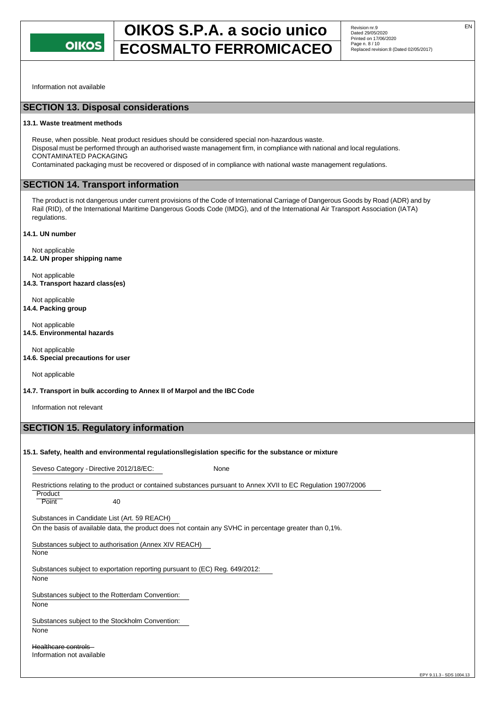

# **OIKOS S.P.A. a socio unico** Revision nr.9 **ECOSMALTO FERROMICACEO** Replaced revision:8 (Dated 02/05/2017)

Information not available

# **SECTION 13. Disposal considerations**

#### **13.1. Waste treatment methods**

Reuse, when possible. Neat product residues should be considered special non-hazardous waste. Disposal must be performed through an authorised waste management firm, in compliance with national and local regulations. CONTAMINATED PACKAGING Contaminated packaging must be recovered or disposed of in compliance with national waste management regulations.

# **SECTION 14. Transport information**

The product is not dangerous under current provisions of the Code of International Carriage of Dangerous Goods by Road (ADR) and by Rail (RID), of the International Maritime Dangerous Goods Code (IMDG), and of the International Air Transport Association (IATA) regulations.

**14.1. UN number**

Not applicable **14.2. UN proper shipping name**

Not applicable **14.3. Transport hazard class(es)**

Not applicable **14.4. Packing group**

Not applicable **14.5. Environmental hazards**

Not applicable **14.6. Special precautions for user**

Not applicable

**14.7. Transport in bulk according to Annex II of Marpol and the IBC Code**

Information not relevant

# **SECTION 15. Regulatory information**

#### **15.1. Safety, health and environmental regulationsllegislation specific for the substance or mixture**

Seveso Category - Directive 2012/18/EC: None

Restrictions relating to the product or contained substances pursuant to Annex XVII to EC Regulation 1907/2006

**Product** Point 40

Substances in Candidate List (Art. 59 REACH)

On the basis of available data, the product does not contain any SVHC in percentage greater than 0,1%.

Substances subject to authorisation (Annex XIV REACH)

None

Substances subject to exportation reporting pursuant to (EC) Reg. 649/2012: None

Substances subject to the Rotterdam Convention:

None

Substances subject to the Stockholm Convention: None

Healthcare controls Information not available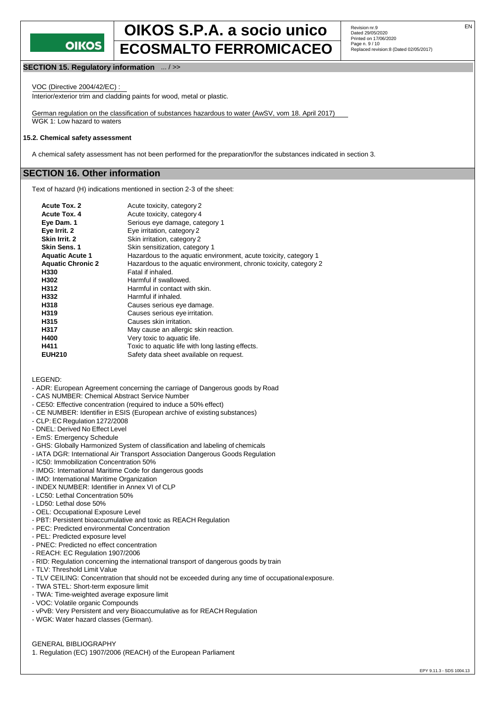

# **OIKOS S.P.A. a socio unico** Revision nr.9 Page n. 9 / 10 **ECOSMALTO FERROMICACEO** Replaced revision:8 (Dated 02/05/2017)

Revision nr.9<br>Dated 29/05/2020 Printed on 17/06/2020<br>Page n. 9 / 10

#### **SECTION 15. Regulatory information** ... / >>

VOC (Directive 2004/42/EC) :

Interior/exterior trim and cladding paints for wood, metal or plastic.

German regulation on the classification of substances hazardous to water (AwSV, vom 18. April 2017) WGK 1: Low hazard to waters

#### **15.2. Chemical safety assessment**

A chemical safety assessment has not been performed for the preparation/for the substances indicated in section 3.

### **SECTION 16. Other information**

Text of hazard (H) indications mentioned in section 2-3 of the sheet:

| <b>Acute Tox. 2</b>      | Acute toxicity, category 2                                         |
|--------------------------|--------------------------------------------------------------------|
| <b>Acute Tox. 4</b>      | Acute toxicity, category 4                                         |
| Eye Dam. 1               | Serious eye damage, category 1                                     |
| Eye Irrit. 2             | Eye irritation, category 2                                         |
| Skin Irrit. 2            | Skin irritation, category 2                                        |
| <b>Skin Sens. 1</b>      | Skin sensitization, category 1                                     |
| <b>Aquatic Acute 1</b>   | Hazardous to the aquatic environment, acute toxicity, category 1   |
| <b>Aquatic Chronic 2</b> | Hazardous to the aquatic environment, chronic toxicity, category 2 |
| H330                     | Fatal if inhaled.                                                  |
| H302                     | Harmful if swallowed.                                              |
| H312                     | Harmful in contact with skin.                                      |
| H332                     | Harmful if inhaled.                                                |
| H318                     | Causes serious eye damage.                                         |
| H319                     | Causes serious eye irritation.                                     |
| H315                     | Causes skin irritation.                                            |
| H317                     | May cause an allergic skin reaction.                               |
| H400                     | Very toxic to aquatic life.                                        |
| H411                     | Toxic to aquatic life with long lasting effects.                   |
| <b>EUH210</b>            | Safety data sheet available on request.                            |

LEGEND:

- ADR: European Agreement concerning the carriage of Dangerous goods by Road
- CAS NUMBER: Chemical Abstract Service Number
- CE50: Effective concentration (required to induce a 50% effect)
- CE NUMBER: Identifier in ESIS (European archive of existing substances)
- CLP: EC Regulation 1272/2008
- DNEL: Derived No Effect Level
- EmS: Emergency Schedule
- GHS: Globally Harmonized System of classification and labeling of chemicals
- IATA DGR: International Air Transport Association Dangerous Goods Regulation
- IC50: Immobilization Concentration 50%
- IMDG: International Maritime Code for dangerous goods
- IMO: International Maritime Organization
- INDEX NUMBER: Identifier in Annex VI of CLP
- LC50: Lethal Concentration 50%
- LD50: Lethal dose 50%
- OEL: Occupational Exposure Level
- PBT: Persistent bioaccumulative and toxic as REACH Regulation
- PEC: Predicted environmental Concentration
- PEL: Predicted exposure level
- PNEC: Predicted no effect concentration
- REACH: EC Regulation 1907/2006
- RID: Regulation concerning the international transport of dangerous goods by train
- TLV: Threshold Limit Value
- TLV CEILING: Concentration that should not be exceeded during any time of occupationalexposure.
- TWA STEL: Short-term exposure limit
- TWA: Time-weighted average exposure limit
- VOC: Volatile organic Compounds
- vPvB: Very Persistent and very Bioaccumulative as for REACH Regulation
- WGK: Water hazard classes (German).

GENERAL BIBLIOGRAPHY

1. Regulation (EC) 1907/2006 (REACH) of the European Parliament